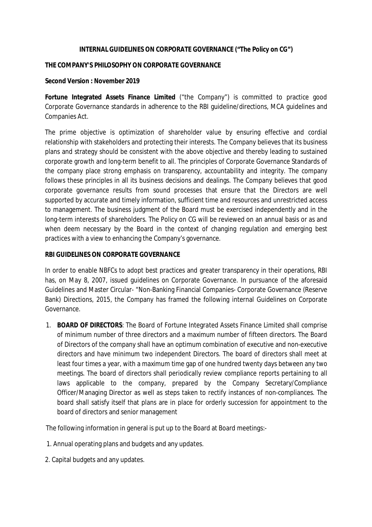#### **INTERNAL GUIDELINES ON CORPORATE GOVERNANCE ("The Policy on CG")**

### **THE COMPANY'S PHILOSOPHY ON CORPORATE GOVERNANCE**

### **Second Version : November 2019**

**Fortune Integrated Assets Finance Limited** ("the Company") is committed to practice good Corporate Governance standards in adherence to the RBI guideline/directions, MCA guidelines and Companies Act.

The prime objective is optimization of shareholder value by ensuring effective and cordial relationship with stakeholders and protecting their interests. The Company believes that its business plans and strategy should be consistent with the above objective and thereby leading to sustained corporate growth and long-term benefit to all. The principles of Corporate Governance Standards of the company place strong emphasis on transparency, accountability and integrity. The company follows these principles in all its business decisions and dealings. The Company believes that good corporate governance results from sound processes that ensure that the Directors are well supported by accurate and timely information, sufficient time and resources and unrestricted access to management. The business judgment of the Board must be exercised independently and in the long-term interests of shareholders. The Policy on CG will be reviewed on an annual basis or as and when deem necessary by the Board in the context of changing regulation and emerging best practices with a view to enhancing the Company's governance.

### **RBI GUIDELINES ON CORPORATE GOVERNANCE**

In order to enable NBFCs to adopt best practices and greater transparency in their operations, RBI has, on May 8, 2007, issued guidelines on Corporate Governance. In pursuance of the aforesaid Guidelines and Master Circular- "Non-Banking Financial Companies- Corporate Governance (Reserve Bank) Directions, 2015, the Company has framed the following internal Guidelines on Corporate Governance.

1. **BOARD OF DIRECTORS**: The Board of Fortune Integrated Assets Finance Limited shall comprise of minimum number of three directors and a maximum number of fifteen directors. The Board of Directors of the company shall have an optimum combination of executive and non-executive directors and have minimum two independent Directors. The board of directors shall meet at least four times a year, with a maximum time gap of one hundred twenty days between any two meetings. The board of directors shall periodically review compliance reports pertaining to all laws applicable to the company, prepared by the Company Secretary/Compliance Officer/Managing Director as well as steps taken to rectify instances of non-compliances. The board shall satisfy itself that plans are in place for orderly succession for appointment to the board of directors and senior management

The following information in general is put up to the Board at Board meetings:-

- 1. Annual operating plans and budgets and any updates.
- 2. Capital budgets and any updates.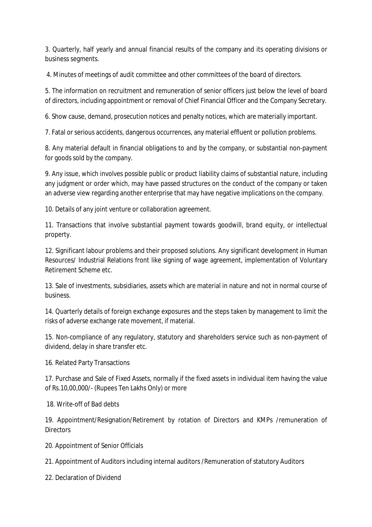3. Quarterly, half yearly and annual financial results of the company and its operating divisions or business segments.

4. Minutes of meetings of audit committee and other committees of the board of directors.

5. The information on recruitment and remuneration of senior officers just below the level of board of directors, including appointment or removal of Chief Financial Officer and the Company Secretary.

6. Show cause, demand, prosecution notices and penalty notices, which are materially important.

7. Fatal or serious accidents, dangerous occurrences, any material effluent or pollution problems.

8. Any material default in financial obligations to and by the company, or substantial non-payment for goods sold by the company.

9. Any issue, which involves possible public or product liability claims of substantial nature, including any judgment or order which, may have passed structures on the conduct of the company or taken an adverse view regarding another enterprise that may have negative implications on the company.

10. Details of any joint venture or collaboration agreement.

11. Transactions that involve substantial payment towards goodwill, brand equity, or intellectual property.

12. Significant labour problems and their proposed solutions. Any significant development in Human Resources/ Industrial Relations front like signing of wage agreement, implementation of Voluntary Retirement Scheme etc.

13. Sale of investments, subsidiaries, assets which are material in nature and not in normal course of business.

14. Quarterly details of foreign exchange exposures and the steps taken by management to limit the risks of adverse exchange rate movement, if material.

15. Non-compliance of any regulatory, statutory and shareholders service such as non-payment of dividend, delay in share transfer etc.

16. Related Party Transactions

17. Purchase and Sale of Fixed Assets, normally if the fixed assets in individual item having the value of Rs.10,00,000/- (Rupees Ten Lakhs Only) or more

18. Write-off of Bad debts

19. Appointment/Resignation/Retirement by rotation of Directors and KMPs /remuneration of **Directors** 

20. Appointment of Senior Officials

21. Appointment of Auditors including internal auditors /Remuneration of statutory Auditors

22. Declaration of Dividend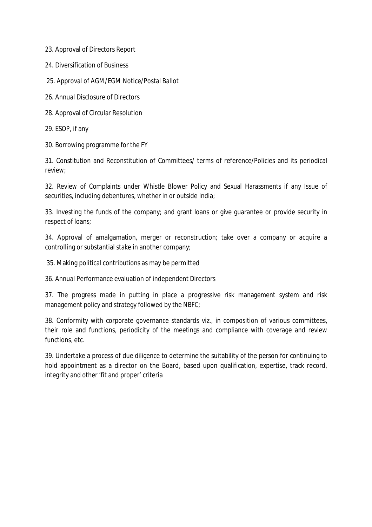23. Approval of Directors Report

24. Diversification of Business

25. Approval of AGM/EGM Notice/Postal Ballot

26. Annual Disclosure of Directors

28. Approval of Circular Resolution

29. ESOP, if any

30. Borrowing programme for the FY

31. Constitution and Reconstitution of Committees/ terms of reference/Policies and its periodical review;

32. Review of Complaints under Whistle Blower Policy and Sexual Harassments if any Issue of securities, including debentures, whether in or outside India;

33. Investing the funds of the company; and grant loans or give guarantee or provide security in respect of loans;

34. Approval of amalgamation, merger or reconstruction; take over a company or acquire a controlling or substantial stake in another company;

35. Making political contributions as may be permitted

36. Annual Performance evaluation of independent Directors

37. The progress made in putting in place a progressive risk management system and risk management policy and strategy followed by the NBFC;

38. Conformity with corporate governance standards viz., in composition of various committees, their role and functions, periodicity of the meetings and compliance with coverage and review functions, etc.

39. Undertake a process of due diligence to determine the suitability of the person for continuing to hold appointment as a director on the Board, based upon qualification, expertise, track record, integrity and other 'fit and proper' criteria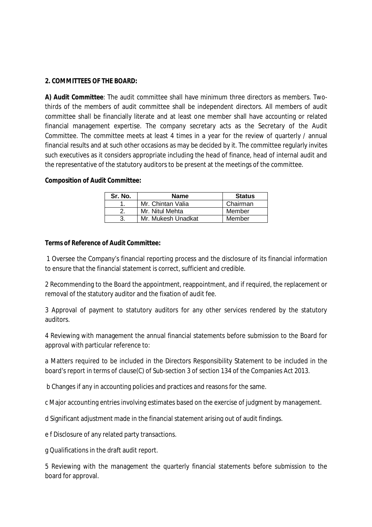### **2. COMMITTEES OF THE BOARD:**

**A) Audit Committee**: The audit committee shall have minimum three directors as members. Twothirds of the members of audit committee shall be independent directors. All members of audit committee shall be financially literate and at least one member shall have accounting or related financial management expertise. The company secretary acts as the Secretary of the Audit Committee. The committee meets at least 4 times in a year for the review of quarterly / annual financial results and at such other occasions as may be decided by it. The committee regularly invites such executives as it considers appropriate including the head of finance, head of internal audit and the representative of the statutory auditors to be present at the meetings of the committee.

#### **Composition of Audit Committee:**

| Sr. No. | <b>Name</b>        | <b>Status</b> |
|---------|--------------------|---------------|
|         | Mr. Chintan Valia  | Chairman      |
|         | Mr. Nitul Mehta    | Member        |
|         | Mr. Mukesh Unadkat | Member        |

#### **Terms of Reference of Audit Committee:**

1 Oversee the Company's financial reporting process and the disclosure of its financial information to ensure that the financial statement is correct, sufficient and credible.

2 Recommending to the Board the appointment, reappointment, and if required, the replacement or removal of the statutory auditor and the fixation of audit fee.

3 Approval of payment to statutory auditors for any other services rendered by the statutory auditors.

4 Reviewing with management the annual financial statements before submission to the Board for approval with particular reference to:

a Matters required to be included in the Directors Responsibility Statement to be included in the board's report in terms of clause(C) of Sub-section 3 of section 134 of the Companies Act 2013.

b Changes if any in accounting policies and practices and reasons for the same.

c Major accounting entries involving estimates based on the exercise of judgment by management.

d Significant adjustment made in the financial statement arising out of audit findings.

e f Disclosure of any related party transactions.

g Qualifications in the draft audit report.

5 Reviewing with the management the quarterly financial statements before submission to the board for approval.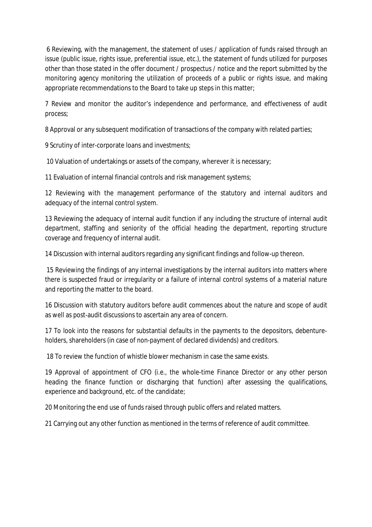6 Reviewing, with the management, the statement of uses / application of funds raised through an issue (public issue, rights issue, preferential issue, etc.), the statement of funds utilized for purposes other than those stated in the offer document / prospectus / notice and the report submitted by the monitoring agency monitoring the utilization of proceeds of a public or rights issue, and making appropriate recommendations to the Board to take up steps in this matter;

7 Review and monitor the auditor's independence and performance, and effectiveness of audit process;

8 Approval or any subsequent modification of transactions of the company with related parties;

9 Scrutiny of inter-corporate loans and investments;

10 Valuation of undertakings or assets of the company, wherever it is necessary;

11 Evaluation of internal financial controls and risk management systems;

12 Reviewing with the management performance of the statutory and internal auditors and adequacy of the internal control system.

13 Reviewing the adequacy of internal audit function if any including the structure of internal audit department, staffing and seniority of the official heading the department, reporting structure coverage and frequency of internal audit.

14 Discussion with internal auditors regarding any significant findings and follow-up thereon.

15 Reviewing the findings of any internal investigations by the internal auditors into matters where there is suspected fraud or irregularity or a failure of internal control systems of a material nature and reporting the matter to the board.

16 Discussion with statutory auditors before audit commences about the nature and scope of audit as well as post-audit discussions to ascertain any area of concern.

17 To look into the reasons for substantial defaults in the payments to the depositors, debentureholders, shareholders (in case of non-payment of declared dividends) and creditors.

18 To review the function of whistle blower mechanism in case the same exists.

19 Approval of appointment of CFO (i.e., the whole-time Finance Director or any other person heading the finance function or discharging that function) after assessing the qualifications, experience and background, etc. of the candidate;

20 Monitoring the end use of funds raised through public offers and related matters.

21 Carrying out any other function as mentioned in the terms of reference of audit committee.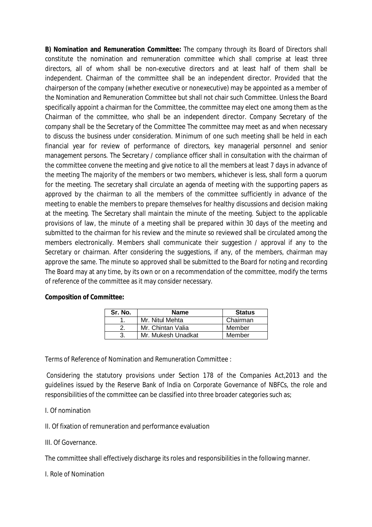**B) Nomination and Remuneration Committee:** The company through its Board of Directors shall constitute the nomination and remuneration committee which shall comprise at least three directors, all of whom shall be non-executive directors and at least half of them shall be independent. Chairman of the committee shall be an independent director. Provided that the chairperson of the company (whether executive or nonexecutive) may be appointed as a member of the Nomination and Remuneration Committee but shall not chair such Committee. Unless the Board specifically appoint a chairman for the Committee, the committee may elect one among them as the Chairman of the committee, who shall be an independent director. Company Secretary of the company shall be the Secretary of the Committee The committee may meet as and when necessary to discuss the business under consideration. Minimum of one such meeting shall be held in each financial year for review of performance of directors, key managerial personnel and senior management persons. The Secretary / compliance officer shall in consultation with the chairman of the committee convene the meeting and give notice to all the members at least 7 days in advance of the meeting The majority of the members or two members, whichever is less, shall form a quorum for the meeting. The secretary shall circulate an agenda of meeting with the supporting papers as approved by the chairman to all the members of the committee sufficiently in advance of the meeting to enable the members to prepare themselves for healthy discussions and decision making at the meeting. The Secretary shall maintain the minute of the meeting. Subject to the applicable provisions of law, the minute of a meeting shall be prepared within 30 days of the meeting and submitted to the chairman for his review and the minute so reviewed shall be circulated among the members electronically. Members shall communicate their suggestion / approval if any to the Secretary or chairman. After considering the suggestions, if any, of the members, chairman may approve the same. The minute so approved shall be submitted to the Board for noting and recording The Board may at any time, by its own or on a recommendation of the committee, modify the terms of reference of the committee as it may consider necessary.

| Sr. No. | <b>Name</b>        | <b>Status</b> |
|---------|--------------------|---------------|
|         | Mr. Nitul Mehta    | Chairman      |
|         | Mr. Chintan Valia  | Member        |
|         | Mr. Mukesh Unadkat | Member        |

#### **Composition of Committee:**

Terms of Reference of Nomination and Remuneration Committee :

Considering the statutory provisions under Section 178 of the Companies Act,2013 and the guidelines issued by the Reserve Bank of India on Corporate Governance of NBFCs, the role and responsibilities of the committee can be classified into three broader categories such as;

- I. Of nomination
- II. Of fixation of remuneration and performance evaluation
- III. Of Governance.

The committee shall effectively discharge its roles and responsibilities in the following manner.

I. Role of Nomination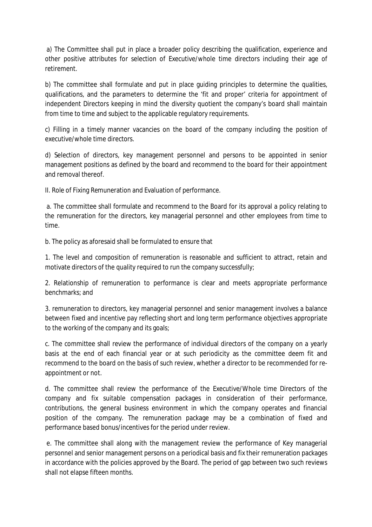a) The Committee shall put in place a broader policy describing the qualification, experience and other positive attributes for selection of Executive/whole time directors including their age of retirement.

b) The committee shall formulate and put in place guiding principles to determine the qualities, qualifications, and the parameters to determine the 'fit and proper' criteria for appointment of independent Directors keeping in mind the diversity quotient the company's board shall maintain from time to time and subject to the applicable regulatory requirements.

c) Filling in a timely manner vacancies on the board of the company including the position of executive/whole time directors.

d) Selection of directors, key management personnel and persons to be appointed in senior management positions as defined by the board and recommend to the board for their appointment and removal thereof.

II. Role of Fixing Remuneration and Evaluation of performance.

a. The committee shall formulate and recommend to the Board for its approval a policy relating to the remuneration for the directors, key managerial personnel and other employees from time to time.

b. The policy as aforesaid shall be formulated to ensure that

1. The level and composition of remuneration is reasonable and sufficient to attract, retain and motivate directors of the quality required to run the company successfully;

2. Relationship of remuneration to performance is clear and meets appropriate performance benchmarks; and

3. remuneration to directors, key managerial personnel and senior management involves a balance between fixed and incentive pay reflecting short and long term performance objectives appropriate to the working of the company and its goals;

c. The committee shall review the performance of individual directors of the company on a yearly basis at the end of each financial year or at such periodicity as the committee deem fit and recommend to the board on the basis of such review, whether a director to be recommended for reappointment or not.

d. The committee shall review the performance of the Executive/Whole time Directors of the company and fix suitable compensation packages in consideration of their performance, contributions, the general business environment in which the company operates and financial position of the company. The remuneration package may be a combination of fixed and performance based bonus/incentives for the period under review.

e. The committee shall along with the management review the performance of Key managerial personnel and senior management persons on a periodical basis and fix their remuneration packages in accordance with the policies approved by the Board. The period of gap between two such reviews shall not elapse fifteen months.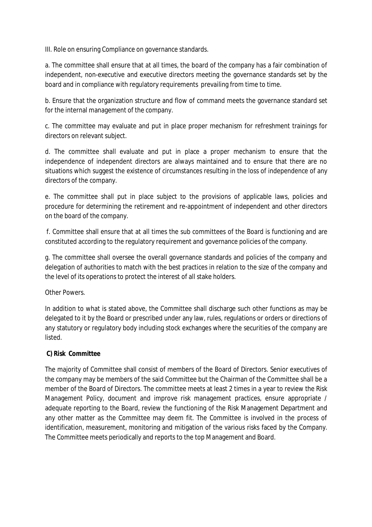III. Role on ensuring Compliance on governance standards.

a. The committee shall ensure that at all times, the board of the company has a fair combination of independent, non-executive and executive directors meeting the governance standards set by the board and in compliance with regulatory requirements prevailing from time to time.

b. Ensure that the organization structure and flow of command meets the governance standard set for the internal management of the company.

c. The committee may evaluate and put in place proper mechanism for refreshment trainings for directors on relevant subject.

d. The committee shall evaluate and put in place a proper mechanism to ensure that the independence of independent directors are always maintained and to ensure that there are no situations which suggest the existence of circumstances resulting in the loss of independence of any directors of the company.

e. The committee shall put in place subject to the provisions of applicable laws, policies and procedure for determining the retirement and re-appointment of independent and other directors on the board of the company.

f. Committee shall ensure that at all times the sub committees of the Board is functioning and are constituted according to the regulatory requirement and governance policies of the company.

g. The committee shall oversee the overall governance standards and policies of the company and delegation of authorities to match with the best practices in relation to the size of the company and the level of its operations to protect the interest of all stake holders.

Other Powers.

In addition to what is stated above, the Committee shall discharge such other functions as may be delegated to it by the Board or prescribed under any law, rules, regulations or orders or directions of any statutory or regulatory body including stock exchanges where the securities of the company are listed.

## **C) Risk Committee**

The majority of Committee shall consist of members of the Board of Directors. Senior executives of the company may be members of the said Committee but the Chairman of the Committee shall be a member of the Board of Directors. The committee meets at least 2 times in a year to review the Risk Management Policy, document and improve risk management practices, ensure appropriate / adequate reporting to the Board, review the functioning of the Risk Management Department and any other matter as the Committee may deem fit. The Committee is involved in the process of identification, measurement, monitoring and mitigation of the various risks faced by the Company. The Committee meets periodically and reports to the top Management and Board.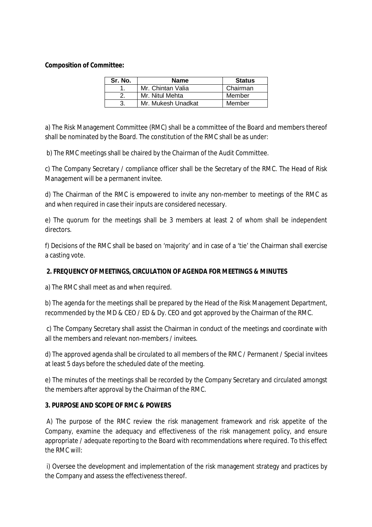### **Composition of Committee:**

| Sr. No. | <b>Name</b>        | <b>Status</b> |
|---------|--------------------|---------------|
|         | Mr. Chintan Valia  | Chairman      |
|         | Mr. Nitul Mehta    | Member        |
|         | Mr. Mukesh Unadkat | Member        |

a) The Risk Management Committee (RMC) shall be a committee of the Board and members thereof shall be nominated by the Board. The constitution of the RMC shall be as under:

b) The RMC meetings shall be chaired by the Chairman of the Audit Committee.

c) The Company Secretary / compliance officer shall be the Secretary of the RMC. The Head of Risk Management will be a permanent invitee.

d) The Chairman of the RMC is empowered to invite any non-member to meetings of the RMC as and when required in case their inputs are considered necessary.

e) The quorum for the meetings shall be 3 members at least 2 of whom shall be independent directors.

f) Decisions of the RMC shall be based on 'majority' and in case of a 'tie' the Chairman shall exercise a casting vote.

## **2. FREQUENCY OF MEETINGS, CIRCULATION OF AGENDA FOR MEETINGS & MINUTES**

a) The RMC shall meet as and when required.

b) The agenda for the meetings shall be prepared by the Head of the Risk Management Department, recommended by the MD & CEO / ED & Dy. CEO and got approved by the Chairman of the RMC.

c) The Company Secretary shall assist the Chairman in conduct of the meetings and coordinate with all the members and relevant non-members / invitees.

d) The approved agenda shall be circulated to all members of the RMC / Permanent / Special invitees at least 5 days before the scheduled date of the meeting.

e) The minutes of the meetings shall be recorded by the Company Secretary and circulated amongst the members after approval by the Chairman of the RMC.

## **3. PURPOSE AND SCOPE OF RMC & POWERS**

A) The purpose of the RMC review the risk management framework and risk appetite of the Company, examine the adequacy and effectiveness of the risk management policy, and ensure appropriate / adequate reporting to the Board with recommendations where required. To this effect the RMC will:

i) Oversee the development and implementation of the risk management strategy and practices by the Company and assess the effectiveness thereof.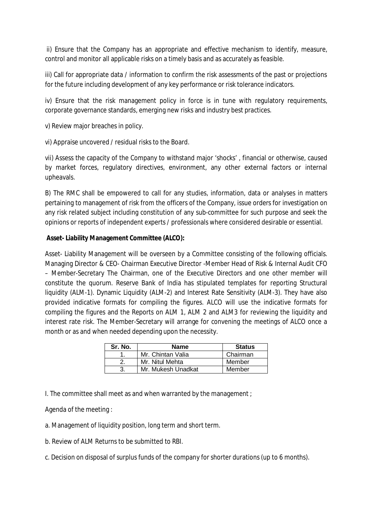ii) Ensure that the Company has an appropriate and effective mechanism to identify, measure, control and monitor all applicable risks on a timely basis and as accurately as feasible.

iii) Call for appropriate data / information to confirm the risk assessments of the past or projections for the future including development of any key performance or risk tolerance indicators.

iv) Ensure that the risk management policy in force is in tune with regulatory requirements, corporate governance standards, emerging new risks and industry best practices.

v) Review major breaches in policy.

vi) Appraise uncovered / residual risks to the Board.

vii) Assess the capacity of the Company to withstand major 'shocks' , financial or otherwise, caused by market forces, regulatory directives, environment, any other external factors or internal upheavals.

B) The RMC shall be empowered to call for any studies, information, data or analyses in matters pertaining to management of risk from the officers of the Company, issue orders for investigation on any risk related subject including constitution of any sub-committee for such purpose and seek the opinions or reports of independent experts / professionals where considered desirable or essential.

## **Asset- Liability Management Committee (ALCO):**

Asset- Liability Management will be overseen by a Committee consisting of the following officials. Managing Director & CEO- Chairman Executive Director -Member Head of Risk & Internal Audit CFO – Member-Secretary The Chairman, one of the Executive Directors and one other member will constitute the quorum. Reserve Bank of India has stipulated templates for reporting Structural liquidity (ALM-1). Dynamic Liquidity (ALM-2) and Interest Rate Sensitivity (ALM-3). They have also provided indicative formats for compiling the figures. ALCO will use the indicative formats for compiling the figures and the Reports on ALM 1, ALM 2 and ALM3 for reviewing the liquidity and interest rate risk. The Member-Secretary will arrange for convening the meetings of ALCO once a month or as and when needed depending upon the necessity.

| Sr. No. | <b>Name</b>        | <b>Status</b> |
|---------|--------------------|---------------|
|         | Mr. Chintan Valia  | Chairman      |
|         | Mr. Nitul Mehta    | Member        |
|         | Mr. Mukesh Unadkat | Member        |

I. The committee shall meet as and when warranted by the management ;

Agenda of the meeting :

a. Management of liquidity position, long term and short term.

b. Review of ALM Returns to be submitted to RBI.

c. Decision on disposal of surplus funds of the company for shorter durations (up to 6 months).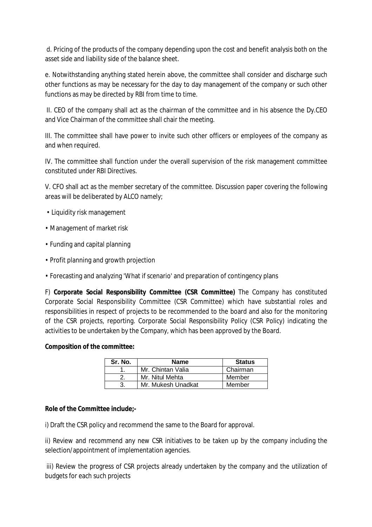d. Pricing of the products of the company depending upon the cost and benefit analysis both on the asset side and liability side of the balance sheet.

e. Notwithstanding anything stated herein above, the committee shall consider and discharge such other functions as may be necessary for the day to day management of the company or such other functions as may be directed by RBI from time to time.

II. CEO of the company shall act as the chairman of the committee and in his absence the Dy.CEO and Vice Chairman of the committee shall chair the meeting.

III. The committee shall have power to invite such other officers or employees of the company as and when required.

IV. The committee shall function under the overall supervision of the risk management committee constituted under RBI Directives.

V. CFO shall act as the member secretary of the committee. Discussion paper covering the following areas will be deliberated by ALCO namely;

- Liquidity risk management
- Management of market risk
- Funding and capital planning
- Profit planning and growth projection
- Forecasting and analyzing 'What if scenario' and preparation of contingency plans

F) **Corporate Social Responsibility Committee (CSR Committee)** The Company has constituted Corporate Social Responsibility Committee (CSR Committee) which have substantial roles and responsibilities in respect of projects to be recommended to the board and also for the monitoring of the CSR projects, reporting. Corporate Social Responsibility Policy (CSR Policy) indicating the activities to be undertaken by the Company, which has been approved by the Board.

#### **Composition of the committee:**

| Sr. No. | <b>Name</b>        | <b>Status</b> |
|---------|--------------------|---------------|
|         | Mr. Chintan Valia  | Chairman      |
|         | Mr. Nitul Mehta    | Member        |
|         | Mr. Mukesh Unadkat | Member        |

#### **Role of the Committee include;-**

i) Draft the CSR policy and recommend the same to the Board for approval.

ii) Review and recommend any new CSR initiatives to be taken up by the company including the selection/appointment of implementation agencies.

iii) Review the progress of CSR projects already undertaken by the company and the utilization of budgets for each such projects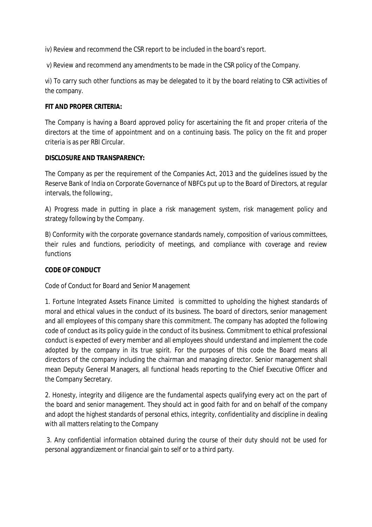iv) Review and recommend the CSR report to be included in the board's report.

v) Review and recommend any amendments to be made in the CSR policy of the Company.

vi) To carry such other functions as may be delegated to it by the board relating to CSR activities of the company.

### **FIT AND PROPER CRITERIA:**

The Company is having a Board approved policy for ascertaining the fit and proper criteria of the directors at the time of appointment and on a continuing basis. The policy on the fit and proper criteria is as per RBI Circular.

#### **DISCLOSURE AND TRANSPARENCY:**

The Company as per the requirement of the Companies Act, 2013 and the guidelines issued by the Reserve Bank of India on Corporate Governance of NBFCs put up to the Board of Directors, at regular intervals, the following:,

A) Progress made in putting in place a risk management system, risk management policy and strategy following by the Company.

B) Conformity with the corporate governance standards namely, composition of various committees, their rules and functions, periodicity of meetings, and compliance with coverage and review functions

## **CODE OF CONDUCT**

Code of Conduct for Board and Senior Management

1. Fortune Integrated Assets Finance Limited is committed to upholding the highest standards of moral and ethical values in the conduct of its business. The board of directors, senior management and all employees of this company share this commitment. The company has adopted the following code of conduct as its policy guide in the conduct of its business. Commitment to ethical professional conduct is expected of every member and all employees should understand and implement the code adopted by the company in its true spirit. For the purposes of this code the Board means all directors of the company including the chairman and managing director. Senior management shall mean Deputy General Managers, all functional heads reporting to the Chief Executive Officer and the Company Secretary.

2. Honesty, integrity and diligence are the fundamental aspects qualifying every act on the part of the board and senior management. They should act in good faith for and on behalf of the company and adopt the highest standards of personal ethics, integrity, confidentiality and discipline in dealing with all matters relating to the Company

3. Any confidential information obtained during the course of their duty should not be used for personal aggrandizement or financial gain to self or to a third party.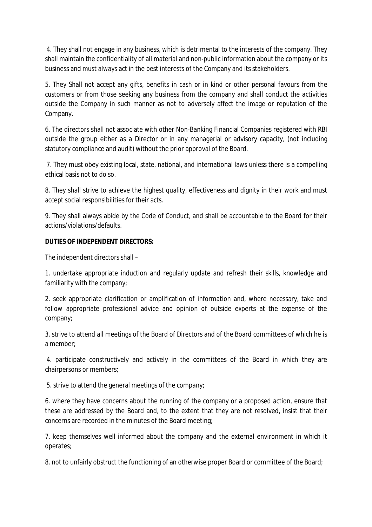4. They shall not engage in any business, which is detrimental to the interests of the company. They shall maintain the confidentiality of all material and non-public information about the company or its business and must always act in the best interests of the Company and its stakeholders.

5. They Shall not accept any gifts, benefits in cash or in kind or other personal favours from the customers or from those seeking any business from the company and shall conduct the activities outside the Company in such manner as not to adversely affect the image or reputation of the Company.

6. The directors shall not associate with other Non-Banking Financial Companies registered with RBI outside the group either as a Director or in any managerial or advisory capacity, (not including statutory compliance and audit) without the prior approval of the Board.

7. They must obey existing local, state, national, and international laws unless there is a compelling ethical basis not to do so.

8. They shall strive to achieve the highest quality, effectiveness and dignity in their work and must accept social responsibilities for their acts.

9. They shall always abide by the Code of Conduct, and shall be accountable to the Board for their actions/violations/defaults.

## **DUTIES OF INDEPENDENT DIRECTORS:**

The independent directors shall –

1. undertake appropriate induction and regularly update and refresh their skills, knowledge and familiarity with the company;

2. seek appropriate clarification or amplification of information and, where necessary, take and follow appropriate professional advice and opinion of outside experts at the expense of the company;

3. strive to attend all meetings of the Board of Directors and of the Board committees of which he is a member;

4. participate constructively and actively in the committees of the Board in which they are chairpersons or members;

5. strive to attend the general meetings of the company;

6. where they have concerns about the running of the company or a proposed action, ensure that these are addressed by the Board and, to the extent that they are not resolved, insist that their concerns are recorded in the minutes of the Board meeting;

7. keep themselves well informed about the company and the external environment in which it operates;

8. not to unfairly obstruct the functioning of an otherwise proper Board or committee of the Board;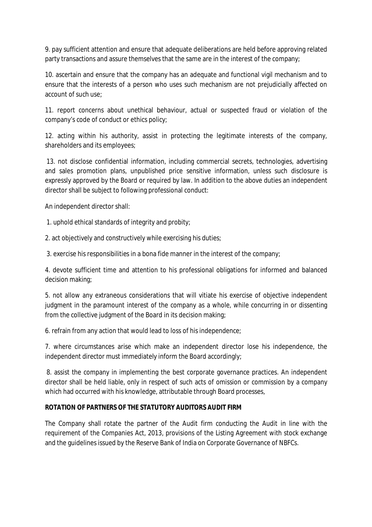9. pay sufficient attention and ensure that adequate deliberations are held before approving related party transactions and assure themselves that the same are in the interest of the company;

10. ascertain and ensure that the company has an adequate and functional vigil mechanism and to ensure that the interests of a person who uses such mechanism are not prejudicially affected on account of such use;

11. report concerns about unethical behaviour, actual or suspected fraud or violation of the company's code of conduct or ethics policy;

12. acting within his authority, assist in protecting the legitimate interests of the company, shareholders and its employees;

13. not disclose confidential information, including commercial secrets, technologies, advertising and sales promotion plans, unpublished price sensitive information, unless such disclosure is expressly approved by the Board or required by law. In addition to the above duties an independent director shall be subject to following professional conduct:

An independent director shall:

1. uphold ethical standards of integrity and probity;

2. act objectively and constructively while exercising his duties;

3. exercise his responsibilities in a bona fide manner in the interest of the company;

4. devote sufficient time and attention to his professional obligations for informed and balanced decision making;

5. not allow any extraneous considerations that will vitiate his exercise of objective independent judgment in the paramount interest of the company as a whole, while concurring in or dissenting from the collective judgment of the Board in its decision making;

6. refrain from any action that would lead to loss of his independence;

7. where circumstances arise which make an independent director lose his independence, the independent director must immediately inform the Board accordingly;

8. assist the company in implementing the best corporate governance practices. An independent director shall be held liable, only in respect of such acts of omission or commission by a company which had occurred with his knowledge, attributable through Board processes,

## **ROTATION OF PARTNERS OF THE STATUTORY AUDITORS AUDIT FIRM**

The Company shall rotate the partner of the Audit firm conducting the Audit in line with the requirement of the Companies Act, 2013, provisions of the Listing Agreement with stock exchange and the guidelines issued by the Reserve Bank of India on Corporate Governance of NBFCs.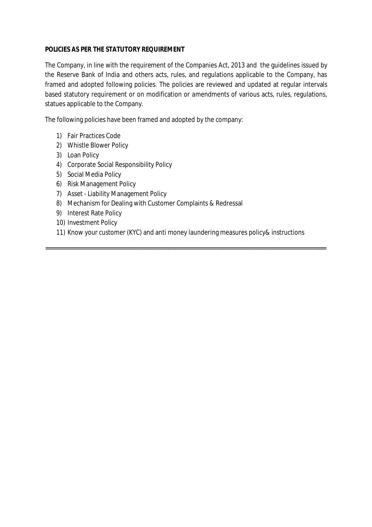#### **POLICIES AS PER THE STATUTORY REQUIREMENT**

The Company, in line with the requirement of the Companies Act, 2013 and the guidelines issued by the Reserve Bank of India and others acts, rules, and regulations applicable to the Company, has framed and adopted following policies. The policies are reviewed and updated at regular intervals based statutory requirement or on modification or amendments of various acts, rules, regulations, statues applicable to the Company.

The following policies have been framed and adopted by the company:

- 1) Fair Practices Code
- 2) Whistle Blower Policy
- 3) Loan Policy
- 4) Corporate Social Responsibility Policy
- 5) Social Media Policy
- 6) Risk Management Policy
- 7) Asset Liability Management Policy
- 8) Mechanism for Dealing with Customer Complaints & Redressal
- 9) Interest Rate Policy
- 10) Investment Policy
- 11) Know your customer (KYC) and anti money laundering measures policy& instructions

==================================================================================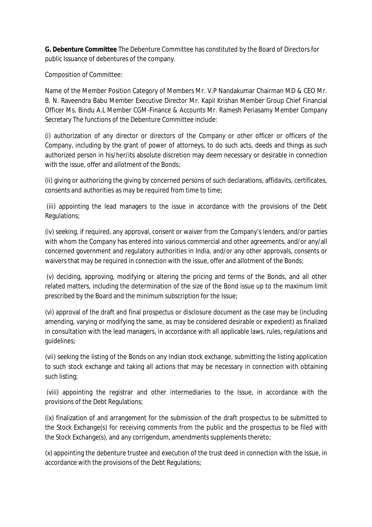**G. Debenture Committee** The Debenture Committee has constituted by the Board of Directors for public Issuance of debentures of the company.

Composition of Committee:

Name of the Member Position Category of Members Mr. V.P Nandakumar Chairman MD & CEO Mr. B. N. Raveendra Babu Member Executive Director Mr. Kapil Krishan Member Group Chief Financial Officer Ms. Bindu A.L Member CGM-Finance & Accounts Mr. Ramesh Periasamy Member Company Secretary The functions of the Debenture Committee include:

(i) authorization of any director or directors of the Company or other officer or officers of the Company, including by the grant of power of attorneys, to do such acts, deeds and things as such authorized person in his/her/its absolute discretion may deem necessary or desirable in connection with the issue, offer and allotment of the Bonds;

(ii) giving or authorizing the giving by concerned persons of such declarations, affidavits, certificates, consents and authorities as may be required from time to time;

(iii) appointing the lead managers to the issue in accordance with the provisions of the Debt Regulations;

(iv) seeking, if required, any approval, consent or waiver from the Company's lenders, and/or parties with whom the Company has entered into various commercial and other agreements, and/or any/all concerned government and regulatory authorities in India, and/or any other approvals, consents or waivers that may be required in connection with the issue, offer and allotment of the Bonds;

(v) deciding, approving, modifying or altering the pricing and terms of the Bonds, and all other related matters, including the determination of the size of the Bond issue up to the maximum limit prescribed by the Board and the minimum subscription for the Issue;

(vi) approval of the draft and final prospectus or disclosure document as the case may be (including amending, varying or modifying the same, as may be considered desirable or expedient) as finalized in consultation with the lead managers, in accordance with all applicable laws, rules, regulations and guidelines;

(vii) seeking the listing of the Bonds on any Indian stock exchange, submitting the listing application to such stock exchange and taking all actions that may be necessary in connection with obtaining such listing;

(viii) appointing the registrar and other intermediaries to the Issue, in accordance with the provisions of the Debt Regulations;

(ix) finalization of and arrangement for the submission of the draft prospectus to be submitted to the Stock Exchange(s) for receiving comments from the public and the prospectus to be filed with the Stock Exchange(s), and any corrigendum, amendments supplements thereto;

(x) appointing the debenture trustee and execution of the trust deed in connection with the Issue, in accordance with the provisions of the Debt Regulations;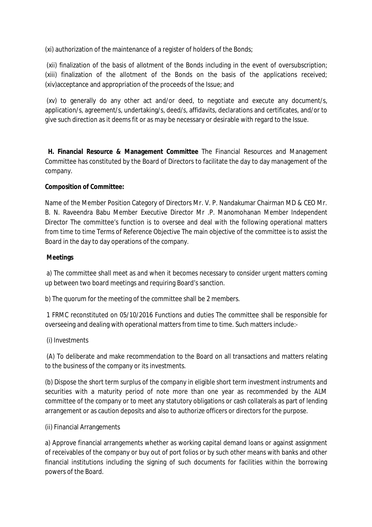(xi) authorization of the maintenance of a register of holders of the Bonds;

(xii) finalization of the basis of allotment of the Bonds including in the event of oversubscription; (xiii) finalization of the allotment of the Bonds on the basis of the applications received; (xiv)acceptance and appropriation of the proceeds of the Issue; and

(xv) to generally do any other act and/or deed, to negotiate and execute any document/s, application/s, agreement/s, undertaking/s, deed/s, affidavits, declarations and certificates, and/or to give such direction as it deems fit or as may be necessary or desirable with regard to the Issue.

**H. Financial Resource & Management Committee** The Financial Resources and Management Committee has constituted by the Board of Directors to facilitate the day to day management of the company.

## **Composition of Committee:**

Name of the Member Position Category of Directors Mr. V. P. Nandakumar Chairman MD & CEO Mr. B. N. Raveendra Babu Member Executive Director Mr .P. Manomohanan Member Independent Director The committee's function is to oversee and deal with the following operational matters from time to time Terms of Reference Objective The main objective of the committee is to assist the Board in the day to day operations of the company.

# **Meetings**

a) The committee shall meet as and when it becomes necessary to consider urgent matters coming up between two board meetings and requiring Board's sanction.

b) The quorum for the meeting of the committee shall be 2 members.

1 FRMC reconstituted on 05/10/2016 Functions and duties The committee shall be responsible for overseeing and dealing with operational matters from time to time. Such matters include:-

## (i) Investments

(A) To deliberate and make recommendation to the Board on all transactions and matters relating to the business of the company or its investments.

(b) Dispose the short term surplus of the company in eligible short term investment instruments and securities with a maturity period of note more than one year as recommended by the ALM committee of the company or to meet any statutory obligations or cash collaterals as part of lending arrangement or as caution deposits and also to authorize officers or directors for the purpose.

## (ii) Financial Arrangements

a) Approve financial arrangements whether as working capital demand loans or against assignment of receivables of the company or buy out of port folios or by such other means with banks and other financial institutions including the signing of such documents for facilities within the borrowing powers of the Board.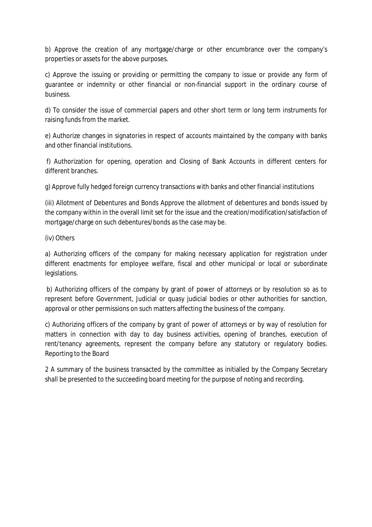b) Approve the creation of any mortgage/charge or other encumbrance over the company's properties or assets for the above purposes.

c) Approve the issuing or providing or permitting the company to issue or provide any form of guarantee or indemnity or other financial or non-financial support in the ordinary course of business.

d) To consider the issue of commercial papers and other short term or long term instruments for raising funds from the market.

e) Authorize changes in signatories in respect of accounts maintained by the company with banks and other financial institutions.

f) Authorization for opening, operation and Closing of Bank Accounts in different centers for different branches.

g) Approve fully hedged foreign currency transactions with banks and other financial institutions

(iii) Allotment of Debentures and Bonds Approve the allotment of debentures and bonds issued by the company within in the overall limit set for the issue and the creation/modification/satisfaction of mortgage/charge on such debentures/bonds as the case may be.

(iv) Others

a) Authorizing officers of the company for making necessary application for registration under different enactments for employee welfare, fiscal and other municipal or local or subordinate legislations.

b) Authorizing officers of the company by grant of power of attorneys or by resolution so as to represent before Government, Judicial or quasy judicial bodies or other authorities for sanction, approval or other permissions on such matters affecting the business of the company.

c) Authorizing officers of the company by grant of power of attorneys or by way of resolution for matters in connection with day to day business activities, opening of branches, execution of rent/tenancy agreements, represent the company before any statutory or regulatory bodies. Reporting to the Board

2 A summary of the business transacted by the committee as initialled by the Company Secretary shall be presented to the succeeding board meeting for the purpose of noting and recording.